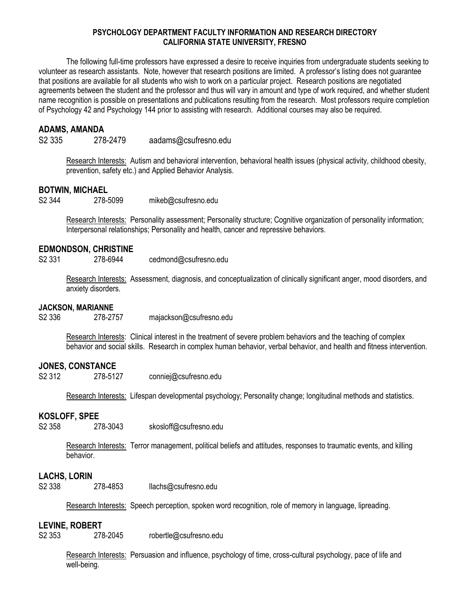## **PSYCHOLOGY DEPARTMENT FACULTY INFORMATION AND RESEARCH DIRECTORY CALIFORNIA STATE UNIVERSITY, FRESNO**

The following full-time professors have expressed a desire to receive inquiries from undergraduate students seeking to volunteer as research assistants. Note, however that research positions are limited. A professor's listing does not guarantee that positions are available for all students who wish to work on a particular project. Research positions are negotiated agreements between the student and the professor and thus will vary in amount and type of work required, and whether student name recognition is possible on presentations and publications resulting from the research. Most professors require completion of Psychology 42 and Psychology 144 prior to assisting with research. Additional courses may also be required.

# **ADAMS, AMANDA**

S2 335 278-2479 aadams@csufresno.edu

Research Interests: Autism and behavioral intervention, behavioral health issues (physical activity, childhood obesity, prevention, safety etc.) and Applied Behavior Analysis.

# **BOTWIN, MICHAEL**

S2 344 278-5099 mikeb@csufresno.edu

Research Interests: Personality assessment; Personality structure; Cognitive organization of personality information; Interpersonal relationships; Personality and health, cancer and repressive behaviors.

# **EDMONDSON, CHRISTINE**

S2 331 278-6944 cedmond@csufresno.edu

Research Interests: Assessment, diagnosis, and conceptualization of clinically significant anger, mood disorders, and anxiety disorders.

## **JACKSON, MARIANNE**

S2 336 278-2757 majackson@csufresno.edu

Research Interests: Clinical interest in the treatment of severe problem behaviors and the teaching of complex behavior and social skills. Research in complex human behavior, verbal behavior, and health and fitness intervention.

## **JONES, CONSTANCE**

S2 312 278-5127 conniej@csufresno.edu

Research Interests: Lifespan developmental psychology; Personality change; longitudinal methods and statistics.

## **KOSLOFF, SPEE**

S2 358 278-3043 skosloff@csufresno.edu

Research Interests: Terror management, political beliefs and attitudes, responses to traumatic events, and killing behavior.

# **LACHS, LORIN**

S2 338 278-4853 llachs@csufresno.edu

Research Interests: Speech perception, spoken word recognition, role of memory in language, lipreading.

# **LEVINE, ROBERT**

S2 353 278-2045 robertle@csufresno.edu

Research Interests: Persuasion and influence, psychology of time, cross-cultural psychology, pace of life and well-being.